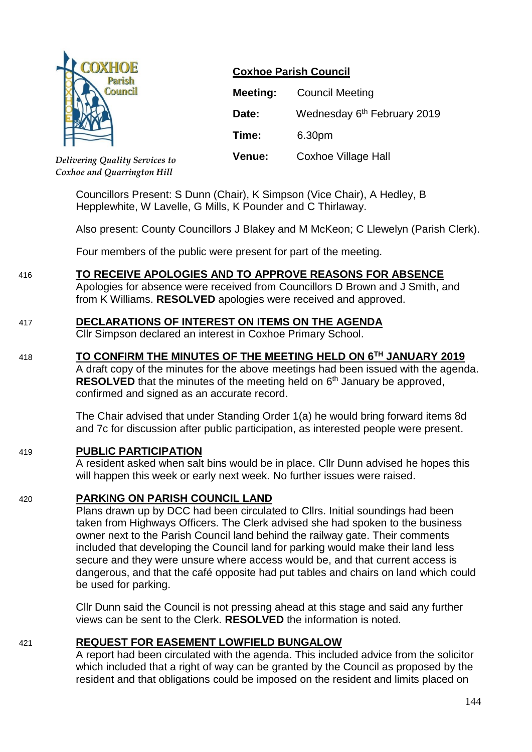

**Coxhoe Parish Council**

| Meeting:      | <b>Council Meeting</b>                  |
|---------------|-----------------------------------------|
| Date:         | Wednesday 6 <sup>th</sup> February 2019 |
| Time:         | 6.30pm                                  |
| <b>Venue:</b> | Coxhoe Village Hall                     |

*Delivering Quality Services to Coxhoe and Quarrington Hill*

> Councillors Present: S Dunn (Chair), K Simpson (Vice Chair), A Hedley, B Hepplewhite, W Lavelle, G Mills, K Pounder and C Thirlaway.

Also present: County Councillors J Blakey and M McKeon; C Llewelyn (Parish Clerk).

Four members of the public were present for part of the meeting.

# 416 **TO RECEIVE APOLOGIES AND TO APPROVE REASONS FOR ABSENCE**

Apologies for absence were received from Councillors D Brown and J Smith, and from K Williams. **RESOLVED** apologies were received and approved.

# 417 **DECLARATIONS OF INTEREST ON ITEMS ON THE AGENDA**

Cllr Simpson declared an interest in Coxhoe Primary School.

# 418 **TO CONFIRM THE MINUTES OF THE MEETING HELD ON 6 TH JANUARY 2019**

A draft copy of the minutes for the above meetings had been issued with the agenda. **RESOLVED** that the minutes of the meeting held on 6<sup>th</sup> January be approved, confirmed and signed as an accurate record.

The Chair advised that under Standing Order 1(a) he would bring forward items 8d and 7c for discussion after public participation, as interested people were present.

### 419 **PUBLIC PARTICIPATION**

A resident asked when salt bins would be in place. Cllr Dunn advised he hopes this will happen this week or early next week. No further issues were raised.

### 420 **PARKING ON PARISH COUNCIL LAND**

Plans drawn up by DCC had been circulated to Cllrs. Initial soundings had been taken from Highways Officers. The Clerk advised she had spoken to the business owner next to the Parish Council land behind the railway gate. Their comments included that developing the Council land for parking would make their land less secure and they were unsure where access would be, and that current access is dangerous, and that the café opposite had put tables and chairs on land which could be used for parking.

Cllr Dunn said the Council is not pressing ahead at this stage and said any further views can be sent to the Clerk. **RESOLVED** the information is noted.

### 421 **REQUEST FOR EASEMENT LOWFIELD BUNGALOW**

A report had been circulated with the agenda. This included advice from the solicitor which included that a right of way can be granted by the Council as proposed by the resident and that obligations could be imposed on the resident and limits placed on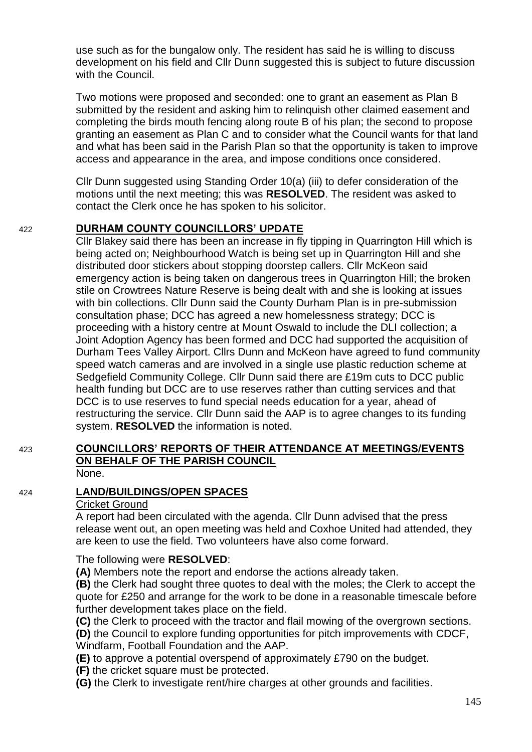use such as for the bungalow only. The resident has said he is willing to discuss development on his field and Cllr Dunn suggested this is subject to future discussion with the Council.

Two motions were proposed and seconded: one to grant an easement as Plan B submitted by the resident and asking him to relinquish other claimed easement and completing the birds mouth fencing along route B of his plan; the second to propose granting an easement as Plan C and to consider what the Council wants for that land and what has been said in the Parish Plan so that the opportunity is taken to improve access and appearance in the area, and impose conditions once considered.

Cllr Dunn suggested using Standing Order 10(a) (iii) to defer consideration of the motions until the next meeting; this was **RESOLVED**. The resident was asked to contact the Clerk once he has spoken to his solicitor.

# 422 **DURHAM COUNTY COUNCILLORS' UPDATE**

Cllr Blakey said there has been an increase in fly tipping in Quarrington Hill which is being acted on; Neighbourhood Watch is being set up in Quarrington Hill and she distributed door stickers about stopping doorstep callers. Cllr McKeon said emergency action is being taken on dangerous trees in Quarrington Hill; the broken stile on Crowtrees Nature Reserve is being dealt with and she is looking at issues with bin collections. Cllr Dunn said the County Durham Plan is in pre-submission consultation phase; DCC has agreed a new homelessness strategy; DCC is proceeding with a history centre at Mount Oswald to include the DLI collection; a Joint Adoption Agency has been formed and DCC had supported the acquisition of Durham Tees Valley Airport. Cllrs Dunn and McKeon have agreed to fund community speed watch cameras and are involved in a single use plastic reduction scheme at Sedgefield Community College. Cllr Dunn said there are £19m cuts to DCC public health funding but DCC are to use reserves rather than cutting services and that DCC is to use reserves to fund special needs education for a year, ahead of restructuring the service. Cllr Dunn said the AAP is to agree changes to its funding system. **RESOLVED** the information is noted.

#### 423 **COUNCILLORS' REPORTS OF THEIR ATTENDANCE AT MEETINGS/EVENTS ON BEHALF OF THE PARISH COUNCIL** None.

# 424 **LAND/BUILDINGS/OPEN SPACES**

### Cricket Ground

A report had been circulated with the agenda. Cllr Dunn advised that the press release went out, an open meeting was held and Coxhoe United had attended, they are keen to use the field. Two volunteers have also come forward.

The following were **RESOLVED**:

**(A)** Members note the report and endorse the actions already taken.

**(B)** the Clerk had sought three quotes to deal with the moles; the Clerk to accept the quote for £250 and arrange for the work to be done in a reasonable timescale before further development takes place on the field.

**(C)** the Clerk to proceed with the tractor and flail mowing of the overgrown sections.

**(D)** the Council to explore funding opportunities for pitch improvements with CDCF, Windfarm, Football Foundation and the AAP.

**(E)** to approve a potential overspend of approximately £790 on the budget.

**(F)** the cricket square must be protected.

**(G)** the Clerk to investigate rent/hire charges at other grounds and facilities.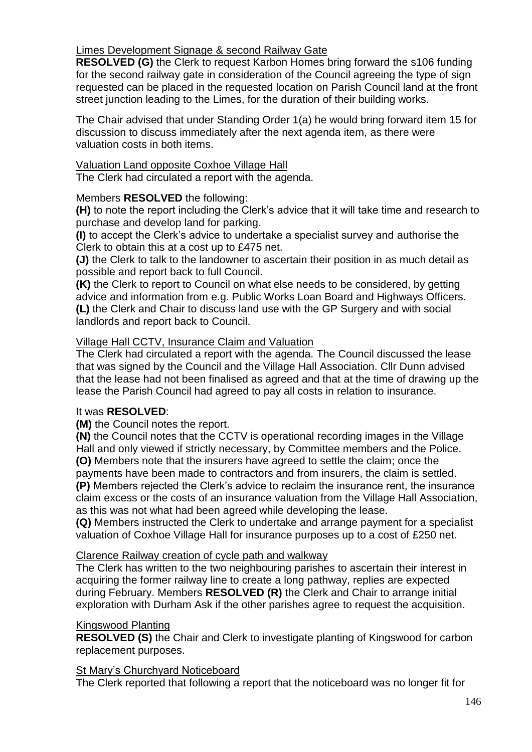# Limes Development Signage & second Railway Gate

**RESOLVED (G)** the Clerk to request Karbon Homes bring forward the s106 funding for the second railway gate in consideration of the Council agreeing the type of sign requested can be placed in the requested location on Parish Council land at the front street junction leading to the Limes, for the duration of their building works.

The Chair advised that under Standing Order 1(a) he would bring forward item 15 for discussion to discuss immediately after the next agenda item, as there were valuation costs in both items.

### Valuation Land opposite Coxhoe Village Hall

The Clerk had circulated a report with the agenda.

# Members **RESOLVED** the following:

**(H)** to note the report including the Clerk's advice that it will take time and research to purchase and develop land for parking.

**(I)** to accept the Clerk's advice to undertake a specialist survey and authorise the Clerk to obtain this at a cost up to £475 net.

**(J)** the Clerk to talk to the landowner to ascertain their position in as much detail as possible and report back to full Council.

**(K)** the Clerk to report to Council on what else needs to be considered, by getting advice and information from e.g. Public Works Loan Board and Highways Officers. **(L)** the Clerk and Chair to discuss land use with the GP Surgery and with social landlords and report back to Council.

# Village Hall CCTV, Insurance Claim and Valuation

The Clerk had circulated a report with the agenda. The Council discussed the lease that was signed by the Council and the Village Hall Association. Cllr Dunn advised that the lease had not been finalised as agreed and that at the time of drawing up the lease the Parish Council had agreed to pay all costs in relation to insurance.

### It was **RESOLVED**:

**(M)** the Council notes the report.

**(N)** the Council notes that the CCTV is operational recording images in the Village Hall and only viewed if strictly necessary, by Committee members and the Police.

**(O)** Members note that the insurers have agreed to settle the claim; once the payments have been made to contractors and from insurers, the claim is settled.

**(P)** Members rejected the Clerk's advice to reclaim the insurance rent, the insurance claim excess or the costs of an insurance valuation from the Village Hall Association, as this was not what had been agreed while developing the lease.

**(Q)** Members instructed the Clerk to undertake and arrange payment for a specialist valuation of Coxhoe Village Hall for insurance purposes up to a cost of £250 net.

# Clarence Railway creation of cycle path and walkway

The Clerk has written to the two neighbouring parishes to ascertain their interest in acquiring the former railway line to create a long pathway, replies are expected during February. Members **RESOLVED (R)** the Clerk and Chair to arrange initial exploration with Durham Ask if the other parishes agree to request the acquisition.

### Kingswood Planting

**RESOLVED (S)** the Chair and Clerk to investigate planting of Kingswood for carbon replacement purposes.

### St Mary's Churchyard Noticeboard

The Clerk reported that following a report that the noticeboard was no longer fit for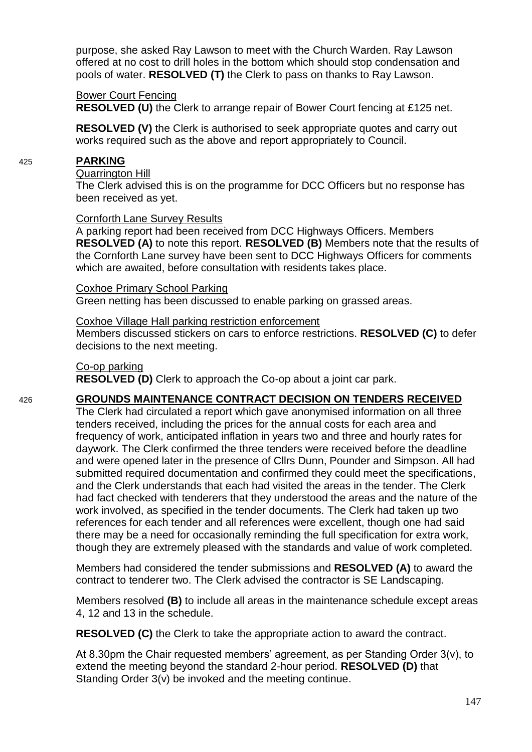purpose, she asked Ray Lawson to meet with the Church Warden. Ray Lawson offered at no cost to drill holes in the bottom which should stop condensation and pools of water. **RESOLVED (T)** the Clerk to pass on thanks to Ray Lawson.

### Bower Court Fencing

**RESOLVED (U)** the Clerk to arrange repair of Bower Court fencing at £125 net.

**RESOLVED (V)** the Clerk is authorised to seek appropriate quotes and carry out works required such as the above and report appropriately to Council.

### 425 **PARKING**

#### Quarrington Hill

The Clerk advised this is on the programme for DCC Officers but no response has been received as yet.

### Cornforth Lane Survey Results

A parking report had been received from DCC Highways Officers. Members **RESOLVED (A)** to note this report. **RESOLVED (B)** Members note that the results of the Cornforth Lane survey have been sent to DCC Highways Officers for comments which are awaited, before consultation with residents takes place.

### Coxhoe Primary School Parking

Green netting has been discussed to enable parking on grassed areas.

### Coxhoe Village Hall parking restriction enforcement

Members discussed stickers on cars to enforce restrictions. **RESOLVED (C)** to defer decisions to the next meeting.

### Co-op parking

**RESOLVED (D)** Clerk to approach the Co-op about a joint car park.

# 426 **GROUNDS MAINTENANCE CONTRACT DECISION ON TENDERS RECEIVED**

The Clerk had circulated a report which gave anonymised information on all three tenders received, including the prices for the annual costs for each area and frequency of work, anticipated inflation in years two and three and hourly rates for daywork. The Clerk confirmed the three tenders were received before the deadline and were opened later in the presence of Cllrs Dunn, Pounder and Simpson. All had submitted required documentation and confirmed they could meet the specifications, and the Clerk understands that each had visited the areas in the tender. The Clerk had fact checked with tenderers that they understood the areas and the nature of the work involved, as specified in the tender documents. The Clerk had taken up two references for each tender and all references were excellent, though one had said there may be a need for occasionally reminding the full specification for extra work, though they are extremely pleased with the standards and value of work completed.

Members had considered the tender submissions and **RESOLVED (A)** to award the contract to tenderer two. The Clerk advised the contractor is SE Landscaping.

Members resolved **(B)** to include all areas in the maintenance schedule except areas 4, 12 and 13 in the schedule.

**RESOLVED (C)** the Clerk to take the appropriate action to award the contract.

At 8.30pm the Chair requested members' agreement, as per Standing Order 3(v), to extend the meeting beyond the standard 2-hour period. **RESOLVED (D)** that Standing Order 3(v) be invoked and the meeting continue.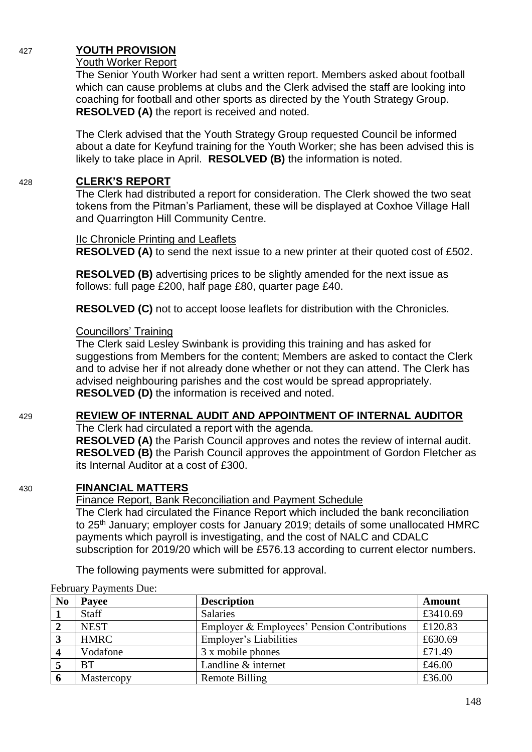# 427 **YOUTH PROVISION**

# Youth Worker Report

The Senior Youth Worker had sent a written report. Members asked about football which can cause problems at clubs and the Clerk advised the staff are looking into coaching for football and other sports as directed by the Youth Strategy Group. **RESOLVED (A)** the report is received and noted.

The Clerk advised that the Youth Strategy Group requested Council be informed about a date for Keyfund training for the Youth Worker; she has been advised this is likely to take place in April. **RESOLVED (B)** the information is noted.

# 428 **CLERK'S REPORT**

The Clerk had distributed a report for consideration. The Clerk showed the two seat tokens from the Pitman's Parliament, these will be displayed at Coxhoe Village Hall and Quarrington Hill Community Centre.

### IIc Chronicle Printing and Leaflets

**RESOLVED (A)** to send the next issue to a new printer at their quoted cost of £502.

**RESOLVED (B)** advertising prices to be slightly amended for the next issue as follows: full page £200, half page £80, quarter page £40.

**RESOLVED (C)** not to accept loose leaflets for distribution with the Chronicles.

# Councillors' Training

The Clerk said Lesley Swinbank is providing this training and has asked for suggestions from Members for the content; Members are asked to contact the Clerk and to advise her if not already done whether or not they can attend. The Clerk has advised neighbouring parishes and the cost would be spread appropriately. **RESOLVED (D)** the information is received and noted.

# 429 **REVIEW OF INTERNAL AUDIT AND APPOINTMENT OF INTERNAL AUDITOR**

The Clerk had circulated a report with the agenda.

**RESOLVED (A)** the Parish Council approves and notes the review of internal audit. **RESOLVED (B)** the Parish Council approves the appointment of Gordon Fletcher as its Internal Auditor at a cost of £300.

# 430 **FINANCIAL MATTERS**

Finance Report, Bank Reconciliation and Payment Schedule

The Clerk had circulated the Finance Report which included the bank reconciliation to 25<sup>th</sup> January; employer costs for January 2019; details of some unallocated HMRC payments which payroll is investigating, and the cost of NALC and CDALC subscription for 2019/20 which will be £576.13 according to current elector numbers.

The following payments were submitted for approval.

| N <sub>0</sub> | Payee        | <b>Description</b>                          | <b>Amount</b> |
|----------------|--------------|---------------------------------------------|---------------|
|                | <b>Staff</b> | <b>Salaries</b>                             | £3410.69      |
|                | <b>NEST</b>  | Employer & Employees' Pension Contributions | £120.83       |
| $\overline{3}$ | <b>HMRC</b>  | Employer's Liabilities                      | £630.69       |
|                | Vodafone     | 3 x mobile phones                           | £71.49        |
|                | <b>BT</b>    | Landline & internet                         | £46.00        |
| -6             | Mastercopy   | Remote Billing                              | £36.00        |

February Payments Due:

148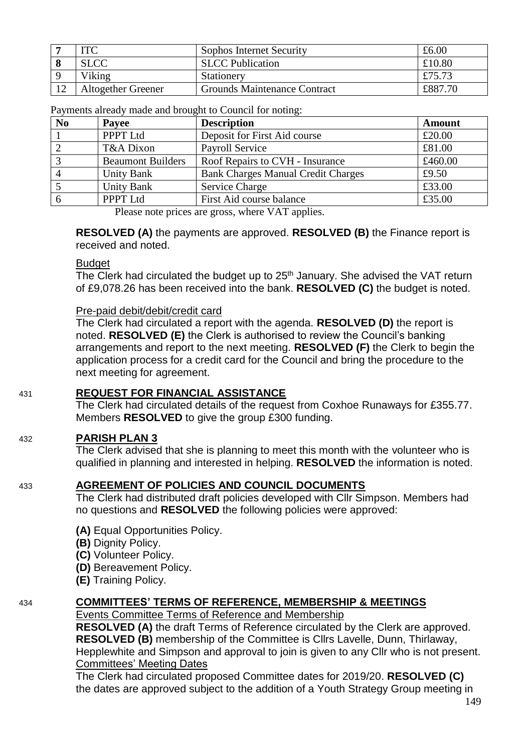| <b>ITC</b>                | Sophos Internet Security            | £6.00   |
|---------------------------|-------------------------------------|---------|
| <b>SLCC</b>               | <b>SLCC</b> Publication             | £10.80  |
| Viking                    | Stationery                          | £75.73  |
| <b>Altogether Greener</b> | <b>Grounds Maintenance Contract</b> | £887.70 |
|                           |                                     |         |

Payments already made and brought to Council for noting:

| N <sub>o</sub> | Payee                    | <b>Description</b>                        | <b>Amount</b> |
|----------------|--------------------------|-------------------------------------------|---------------|
|                | PPPT Ltd                 | Deposit for First Aid course              | £20.00        |
|                | T&A Dixon                | <b>Payroll Service</b>                    | £81.00        |
|                | <b>Beaumont Builders</b> | Roof Repairs to CVH - Insurance           | £460.00       |
|                | <b>Unity Bank</b>        | <b>Bank Charges Manual Credit Charges</b> | £9.50         |
|                | <b>Unity Bank</b>        | Service Charge                            | £33.00        |
|                | PPPT Ltd                 | First Aid course balance                  | £35.00        |

Please note prices are gross, where VAT applies.

**RESOLVED (A)** the payments are approved. **RESOLVED (B)** the Finance report is received and noted.

#### **Budget**

The Clerk had circulated the budget up to 25<sup>th</sup> January. She advised the VAT return of £9,078.26 has been received into the bank. **RESOLVED (C)** the budget is noted.

#### Pre-paid debit/debit/credit card

The Clerk had circulated a report with the agenda. **RESOLVED (D)** the report is noted. **RESOLVED (E)** the Clerk is authorised to review the Council's banking arrangements and report to the next meeting. **RESOLVED (F)** the Clerk to begin the application process for a credit card for the Council and bring the procedure to the next meeting for agreement.

### 431 **REQUEST FOR FINANCIAL ASSISTANCE**

The Clerk had circulated details of the request from Coxhoe Runaways for £355.77. Members **RESOLVED** to give the group £300 funding.

### 432 **PARISH PLAN 3**

The Clerk advised that she is planning to meet this month with the volunteer who is qualified in planning and interested in helping. **RESOLVED** the information is noted.

### 433 **AGREEMENT OF POLICIES AND COUNCIL DOCUMENTS**

The Clerk had distributed draft policies developed with Cllr Simpson. Members had no questions and **RESOLVED** the following policies were approved:

- **(A)** Equal Opportunities Policy.
- **(B)** Dignity Policy.
- **(C)** Volunteer Policy.
- **(D)** Bereavement Policy.
- **(E)** Training Policy.

### 434 **COMMITTEES' TERMS OF REFERENCE, MEMBERSHIP & MEETINGS**

Events Committee Terms of Reference and Membership

**RESOLVED (A)** the draft Terms of Reference circulated by the Clerk are approved. **RESOLVED (B)** membership of the Committee is Cllrs Lavelle, Dunn, Thirlaway, Hepplewhite and Simpson and approval to join is given to any Cllr who is not present. Committees' Meeting Dates

The Clerk had circulated proposed Committee dates for 2019/20. **RESOLVED (C)**  the dates are approved subject to the addition of a Youth Strategy Group meeting in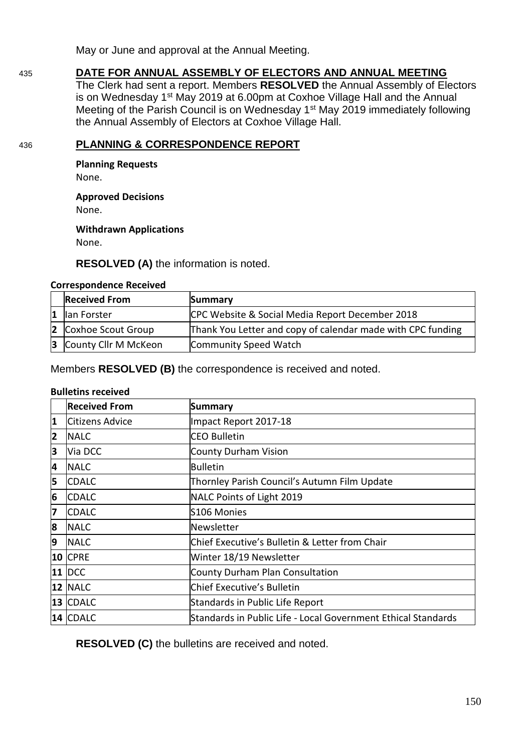May or June and approval at the Annual Meeting.

435 **DATE FOR ANNUAL ASSEMBLY OF ELECTORS AND ANNUAL MEETING**

The Clerk had sent a report. Members **RESOLVED** the Annual Assembly of Electors is on Wednesday 1<sup>st</sup> May 2019 at 6.00pm at Coxhoe Village Hall and the Annual Meeting of the Parish Council is on Wednesday 1<sup>st</sup> May 2019 immediately following the Annual Assembly of Electors at Coxhoe Village Hall.

# 436 **PLANNING & CORRESPONDENCE REPORT**

**Planning Requests**

None.

**Approved Decisions**

None.

**Withdrawn Applications** None.

**RESOLVED (A)** the information is noted.

### **Correspondence Received**

| <b>Received From</b>   | Summary                                                     |
|------------------------|-------------------------------------------------------------|
| lan Forster            | CPC Website & Social Media Report December 2018             |
| 2 Coxhoe Scout Group   | Thank You Letter and copy of calendar made with CPC funding |
| 3 County Cllr M McKeon | Community Speed Watch                                       |

Members **RESOLVED (B)** the correspondence is received and noted.

### **Bulletins received**

|   | <b>Received From</b> | <b>Summary</b>                                                |
|---|----------------------|---------------------------------------------------------------|
| 1 | Citizens Advice      | Impact Report 2017-18                                         |
| 2 | <b>NALC</b>          | <b>CEO Bulletin</b>                                           |
| 3 | Via DCC              | County Durham Vision                                          |
| 4 | <b>NALC</b>          | <b>Bulletin</b>                                               |
| 5 | <b>CDALC</b>         | Thornley Parish Council's Autumn Film Update                  |
| 6 | <b>CDALC</b>         | NALC Points of Light 2019                                     |
| 7 | <b>CDALC</b>         | S106 Monies                                                   |
| 8 | <b>NALC</b>          | Newsletter                                                    |
| 9 | <b>INALC</b>         | Chief Executive's Bulletin & Letter from Chair                |
|   | <b>10 CPRE</b>       | Winter 18/19 Newsletter                                       |
|   | $11$ DCC             | County Durham Plan Consultation                               |
|   | <b>12 NALC</b>       | Chief Executive's Bulletin                                    |
|   | 13 CDALC             | Standards in Public Life Report                               |
|   | 14   CDALC           | Standards in Public Life - Local Government Ethical Standards |

**RESOLVED (C)** the bulletins are received and noted.